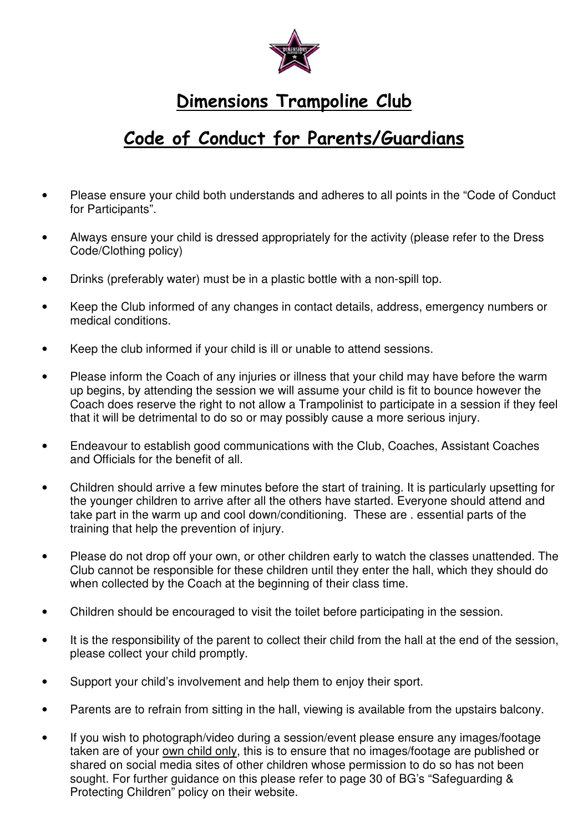

## Dimensions Trampoline Club

## Code of Conduct for Parents/Guardians

- Please ensure your child both understands and adheres to all points in the "Code of Conduct for Participants".
- Always ensure your child is dressed appropriately for the activity (please refer to the Dress Code/Clothing policy)
- Drinks (preferably water) must be in a plastic bottle with a non-spill top.
- Keep the Club informed of any changes in contact details, address, emergency numbers or medical conditions.
- Keep the club informed if your child is ill or unable to attend sessions.
- Please inform the Coach of any injuries or illness that your child may have before the warm up begins, by attending the session we will assume your child is fit to bounce however the Coach does reserve the right to not allow a Trampolinist to participate in a session if they feel that it will be detrimental to do so or may possibly cause a more serious injury.
- Endeavour to establish good communications with the Club, Coaches, Assistant Coaches and Officials for the benefit of all.
- Children should arrive a few minutes before the start of training. It is particularly upsetting for the younger children to arrive after all the others have started. Everyone should attend and take part in the warm up and cool down/conditioning. These are . essential parts of the training that help the prevention of injury.
- Please do not drop off your own, or other children early to watch the classes unattended. The Club cannot be responsible for these children until they enter the hall, which they should do when collected by the Coach at the beginning of their class time.
- Children should be encouraged to visit the toilet before participating in the session.
- It is the responsibility of the parent to collect their child from the hall at the end of the session, please collect your child promptly.
- Support your child's involvement and help them to enjoy their sport.
- Parents are to refrain from sitting in the hall, viewing is available from the upstairs balcony.
- If you wish to photograph/video during a session/event please ensure any images/footage taken are of your own child only, this is to ensure that no images/footage are published or shared on social media sites of other children whose permission to do so has not been sought. For further guidance on this please refer to page 30 of BG's "Safeguarding & Protecting Children" policy on their website.